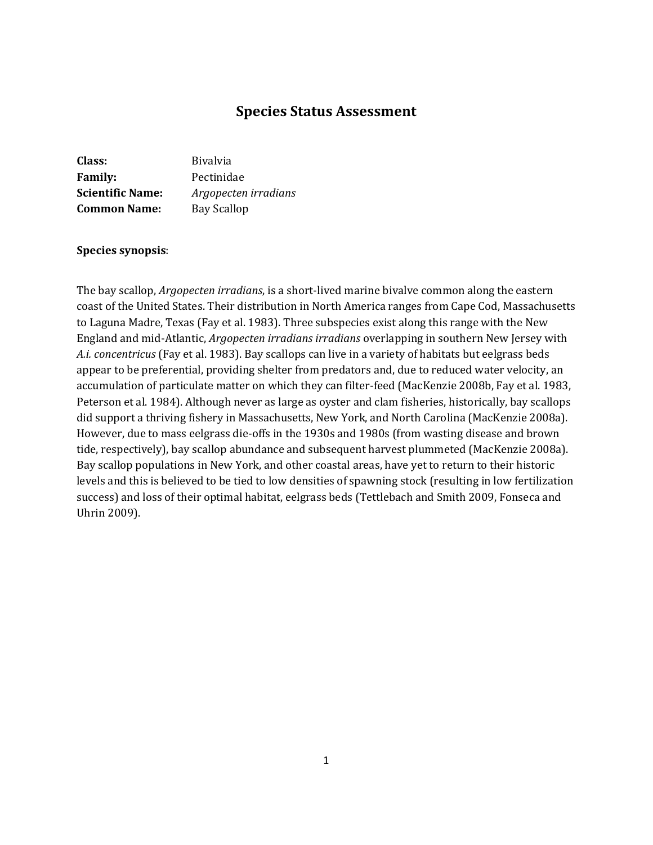# **Species Status Assessment**

| <b>Bivalvia</b>      |
|----------------------|
| Pectinidae           |
| Argopecten irradians |
| Bay Scallop          |
|                      |

#### **Species synopsis**:

The bay scallop, *Argopecten irradians*, is a short-lived marine bivalve common along the eastern coast of the United States. Their distribution in North America ranges from Cape Cod, Massachusetts to Laguna Madre, Texas (Fay et al. 1983). Three subspecies exist along this range with the New England and mid-Atlantic, *Argopecten irradians irradians* overlapping in southern New Jersey with *A.i. concentricus* (Fay et al. 1983). Bay scallops can live in a variety of habitats but eelgrass beds appear to be preferential, providing shelter from predators and, due to reduced water velocity, an accumulation of particulate matter on which they can filter-feed (MacKenzie 2008b, Fay et al. 1983, Peterson et al. 1984). Although never as large as oyster and clam fisheries, historically, bay scallops did support a thriving fishery in Massachusetts, New York, and North Carolina (MacKenzie 2008a). However, due to mass eelgrass die-offs in the 1930s and 1980s (from wasting disease and brown tide, respectively), bay scallop abundance and subsequent harvest plummeted (MacKenzie 2008a). Bay scallop populations in New York, and other coastal areas, have yet to return to their historic levels and this is believed to be tied to low densities of spawning stock (resulting in low fertilization success) and loss of their optimal habitat, eelgrass beds (Tettlebach and Smith 2009, Fonseca and Uhrin 2009).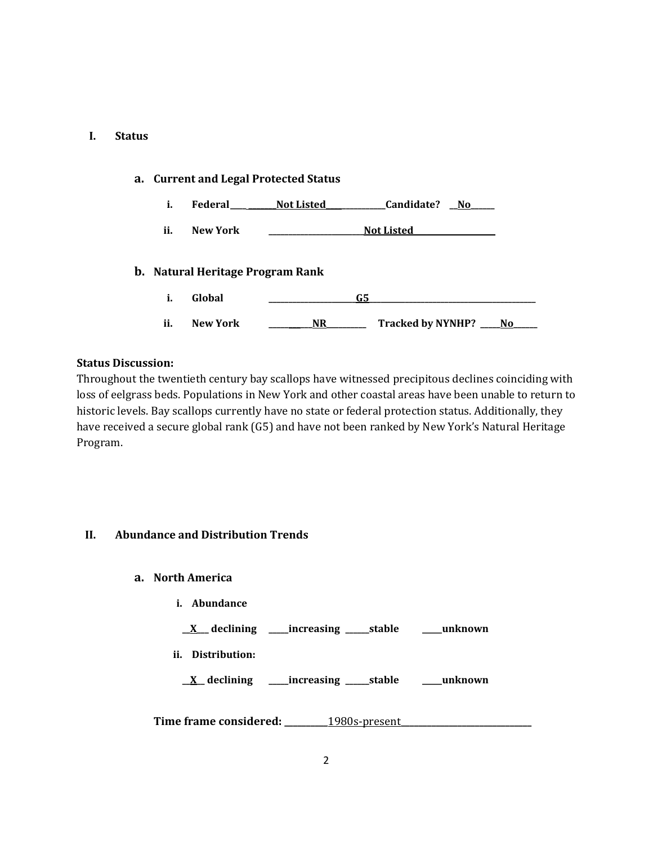### **I. Status**

| a. Current and Legal Protected Status |                                  |                                 |  |  |
|---------------------------------------|----------------------------------|---------------------------------|--|--|
| i.                                    | Federal                          | Candidate?<br>Not Listed<br>No. |  |  |
| ii.                                   | <b>New York</b>                  | <b>Not Listed</b>               |  |  |
|                                       | b. Natural Heritage Program Rank |                                 |  |  |
| i.                                    | Global                           | G5                              |  |  |
| ii.                                   | <b>New York</b>                  | Tracked by NYNHP? ___ No<br>NR. |  |  |

## **Status Discussion:**

Throughout the twentieth century bay scallops have witnessed precipitous declines coinciding with loss of eelgrass beds. Populations in New York and other coastal areas have been unable to return to historic levels. Bay scallops currently have no state or federal protection status. Additionally, they have received a secure global rank (G5) and have not been ranked by New York's Natural Heritage Program.

# **II. Abundance and Distribution Trends**

- **a. North America**
	- **i. Abundance**

**\_\_X\_\_\_ declining \_\_\_\_\_increasing \_\_\_\_\_\_stable \_\_\_\_\_unknown**

**ii. Distribution:**

**\_\_X\_\_ declining \_\_\_\_\_increasing \_\_\_\_\_\_stable \_\_\_\_\_unknown**

**Time frame considered: \_\_\_\_\_\_\_\_\_\_**1980s-present**\_\_\_\_\_\_\_\_\_\_\_\_\_\_\_\_\_\_\_\_\_\_\_\_\_\_\_\_\_\_**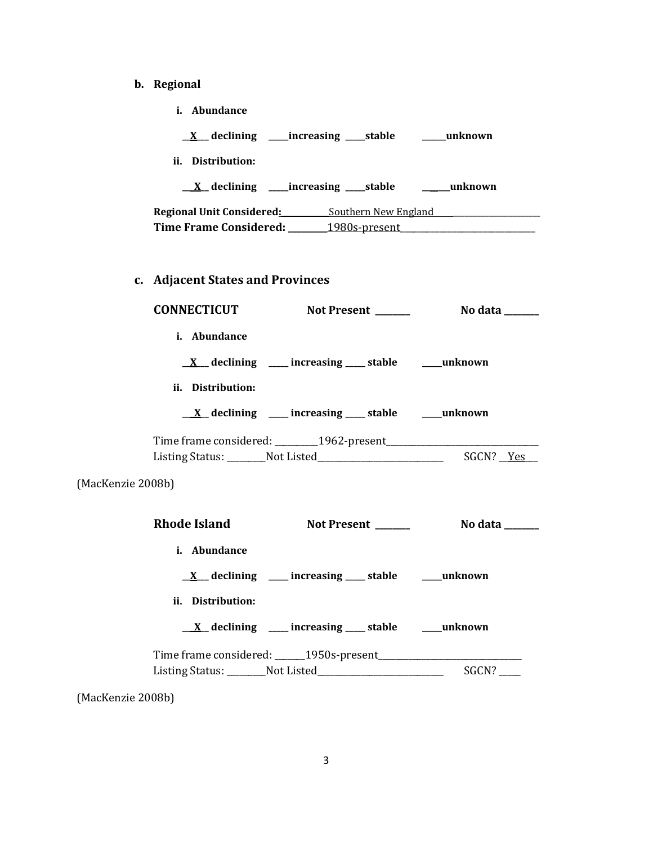- **b. Regional** 
	- **i. Abundance**

**\_\_X\_\_\_ declining \_\_\_\_\_increasing \_\_\_\_\_stable \_\_\_\_\_\_unknown**

**ii. Distribution:**

**\_\_\_X\_\_ declining \_\_\_\_\_increasing \_\_\_\_\_stable \_\_\_\_\_\_\_unknown**

**Regional Unit Considered:\_\_\_\_\_\_\_\_\_\_\_\_**Southern New England **\_\_\_\_\_\_\_\_\_\_\_\_\_\_\_\_\_\_\_\_\_\_** Time Frame Considered: 1980s-present

# **c. Adjacent States and Provinces**

| <b>CONNECTICUT</b>  | Not Present                                                         | No data ______ |
|---------------------|---------------------------------------------------------------------|----------------|
| <i>i.</i> Abundance |                                                                     |                |
|                     | $\underline{X}$ declining ____ increasing ____ stable _____ unknown |                |
| ii. Distribution:   |                                                                     |                |
|                     | $\underline{X}$ declining ____ increasing ____ stable ____ unknown  |                |
|                     |                                                                     |                |
|                     | Listing Status: Not Listed                                          | SGCN? Yes      |

(MacKenzie 2008b)

| <b>Rhode Island</b> | <b>Not Present</b>                                                   | No data |
|---------------------|----------------------------------------------------------------------|---------|
| i. Abundance        |                                                                      |         |
|                     | $\underline{X}$ declining ___ increasing ___ stable ___ unknown      |         |
| ii. Distribution:   |                                                                      |         |
|                     | $\underline{X}$ declining ____ increasing ____ stable ___ __ unknown |         |
|                     |                                                                      |         |
|                     | Listing Status: Not Listed                                           | SGCN?   |

(MacKenzie 2008b)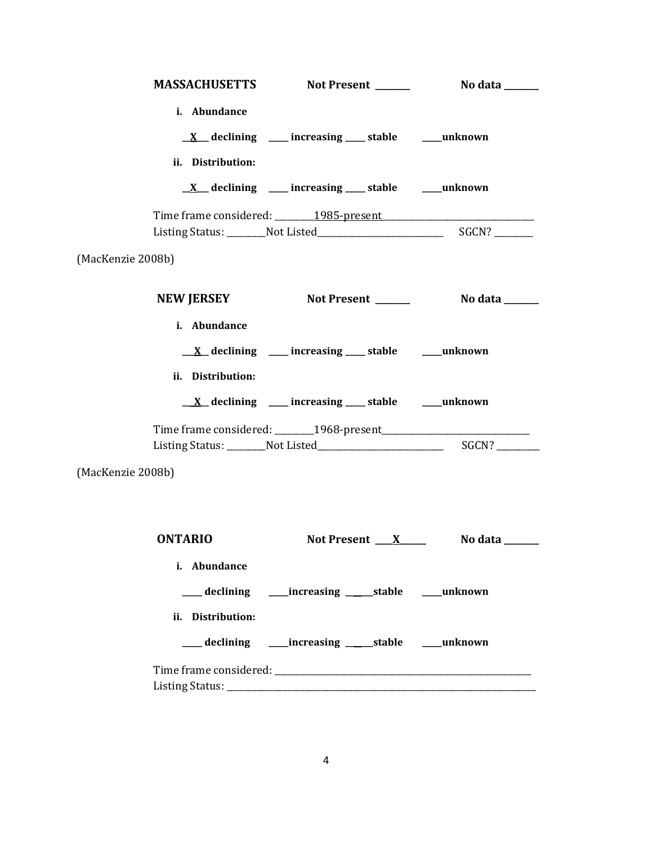|                                   | MASSACHUSETTS Not Present ______                                    | No data ______                   |
|-----------------------------------|---------------------------------------------------------------------|----------------------------------|
| i. Abundance<br>ii. Distribution: | $\underline{X}$ declining ___ increasing ___ stable ___ unknown     |                                  |
|                                   | $\underline{X}$ declining ___ increasing ___ stable ___ unknown     |                                  |
|                                   |                                                                     |                                  |
| (MacKenzie 2008b)                 |                                                                     |                                  |
|                                   | NEW JERSEY Not Present No data                                      |                                  |
| i. Abundance<br>ii. Distribution: | $\underline{X}$ declining ____ increasing ____ stable _____ unknown |                                  |
|                                   | $\underline{X}$ declining ____ increasing ____ stable _____ unknown |                                  |
|                                   |                                                                     |                                  |
| (MacKenzie 2008b)                 |                                                                     |                                  |
|                                   |                                                                     |                                  |
| <b>ONTARIO</b>                    |                                                                     | Not Present $X$ No data ________ |
| i. Abundance                      |                                                                     |                                  |
|                                   | ___ declining _____ increasing ______ stable _____ unknown          |                                  |
| ii. Distribution:                 |                                                                     |                                  |
|                                   | ___ declining _____increasing ______stable _____unknown             |                                  |
|                                   |                                                                     |                                  |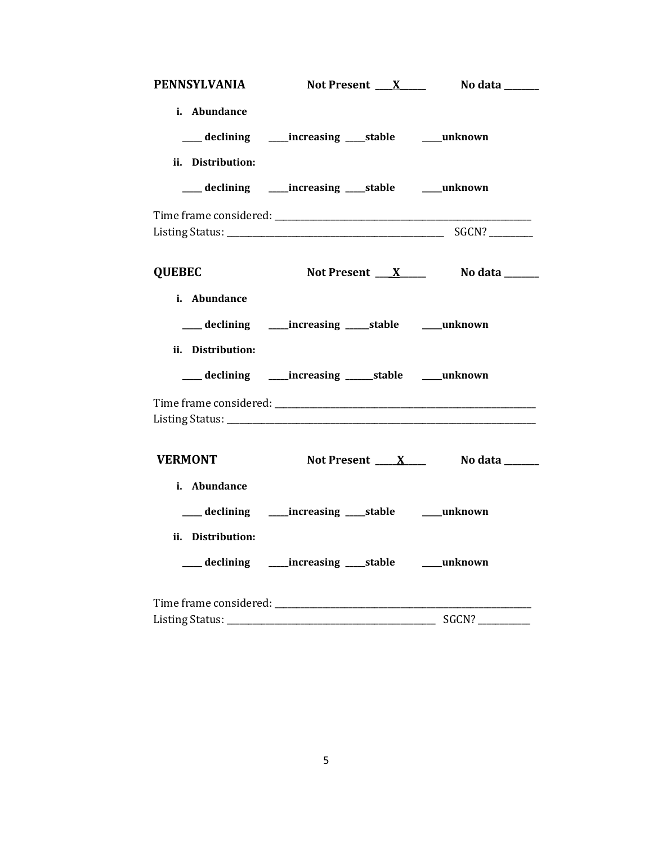|                   | PENNSYLVANIA Not Present X No data _____                   |       |
|-------------------|------------------------------------------------------------|-------|
| i. Abundance      |                                                            |       |
|                   | ___ declining _____increasing _____stable ______unknown    |       |
| ii. Distribution: |                                                            |       |
|                   | ___ declining _____ increasing ____ stable _____ unknown   |       |
|                   |                                                            |       |
| <b>QUEBEC</b>     | Not Present <u>X</u> No data _____                         |       |
| i. Abundance      |                                                            |       |
|                   | ___ declining _____ increasing _____ stable _____ unknown  |       |
| ii. Distribution: |                                                            |       |
|                   | ___ declining _____ increasing ______ stable _____ unknown |       |
|                   |                                                            |       |
| <b>VERMONT</b>    | Not Present <u>XX</u> No data ______                       |       |
| i. Abundance      |                                                            |       |
|                   | declining _____increasing _____stable ______unknown        |       |
| ii. Distribution: |                                                            |       |
|                   | ___ declining _____increasing ____stable _____unknown      |       |
|                   |                                                            |       |
|                   |                                                            | SGCN? |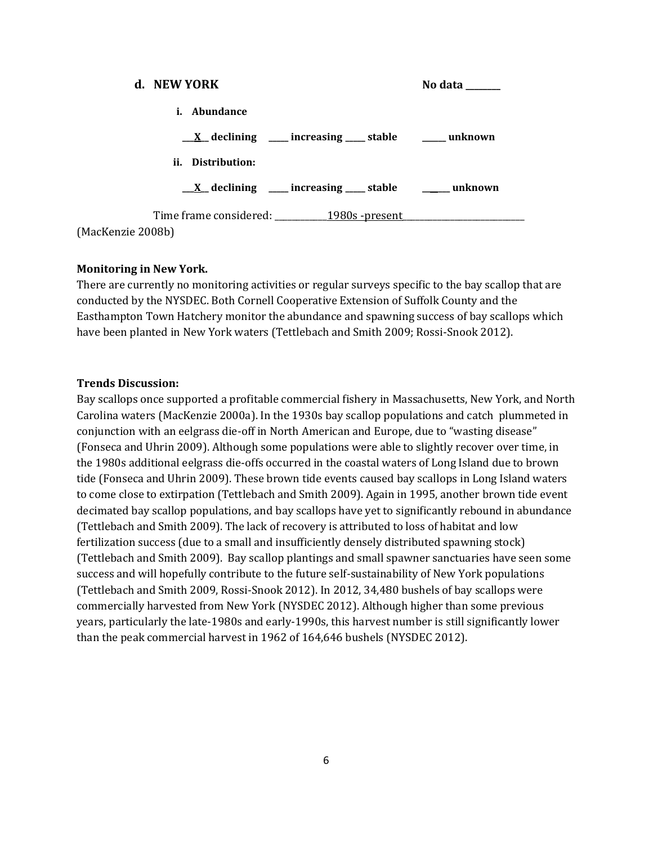| d. NEW YORK                                                         | No data ______ |
|---------------------------------------------------------------------|----------------|
| <i>i.</i> Abundance                                                 |                |
| $\underline{X}$ declining ____ increasing ____ stable _____ unknown |                |
| ii. Distribution:                                                   |                |
| $\underline{X}$ declining ___ increasing ___ stable ___ unknown     |                |
| Time frame considered: __________ 1980s -present                    |                |
| (MacKenzie 2008b)                                                   |                |

### **Monitoring in New York.**

There are currently no monitoring activities or regular surveys specific to the bay scallop that are conducted by the NYSDEC. Both Cornell Cooperative Extension of Suffolk County and the Easthampton Town Hatchery monitor the abundance and spawning success of bay scallops which have been planted in New York waters (Tettlebach and Smith 2009; Rossi-Snook 2012).

#### **Trends Discussion:**

Bay scallops once supported a profitable commercial fishery in Massachusetts, New York, and North Carolina waters (MacKenzie 2000a). In the 1930s bay scallop populations and catch plummeted in conjunction with an eelgrass die-off in North American and Europe, due to "wasting disease" (Fonseca and Uhrin 2009). Although some populations were able to slightly recover over time, in the 1980s additional eelgrass die-offs occurred in the coastal waters of Long Island due to brown tide (Fonseca and Uhrin 2009). These brown tide events caused bay scallops in Long Island waters to come close to extirpation (Tettlebach and Smith 2009). Again in 1995, another brown tide event decimated bay scallop populations, and bay scallops have yet to significantly rebound in abundance (Tettlebach and Smith 2009). The lack of recovery is attributed to loss of habitat and low fertilization success (due to a small and insufficiently densely distributed spawning stock) (Tettlebach and Smith 2009). Bay scallop plantings and small spawner sanctuaries have seen some success and will hopefully contribute to the future self-sustainability of New York populations (Tettlebach and Smith 2009, Rossi-Snook 2012). In 2012, 34,480 bushels of bay scallops were commercially harvested from New York (NYSDEC 2012). Although higher than some previous years, particularly the late-1980s and early-1990s, this harvest number is still significantly lower than the peak commercial harvest in 1962 of 164,646 bushels (NYSDEC 2012).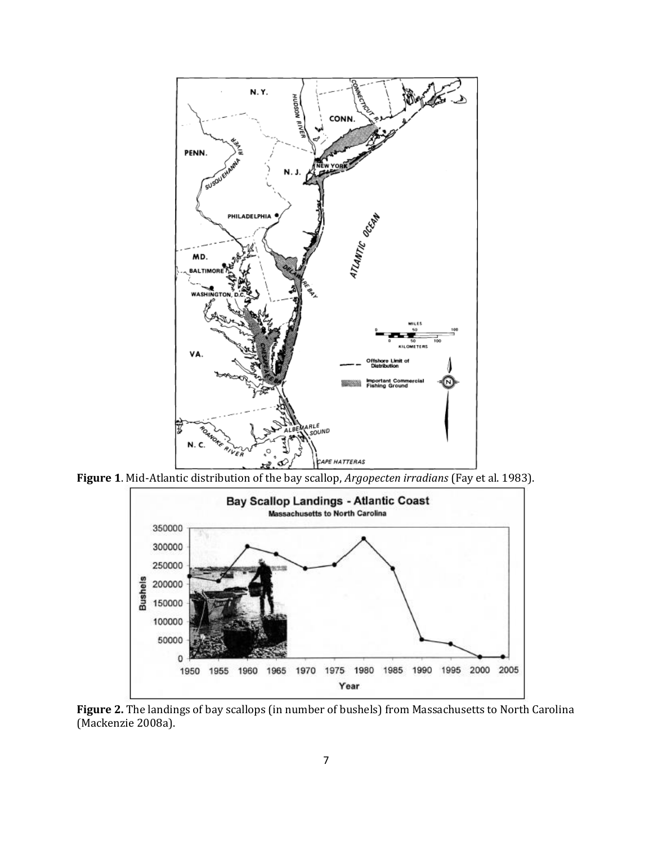

**Figure 1**. Mid-Atlantic distribution of the bay scallop, *Argopecten irradians* (Fay et al. 1983).



**Figure 2.** The landings of bay scallops (in number of bushels) from Massachusetts to North Carolina (Mackenzie 2008a).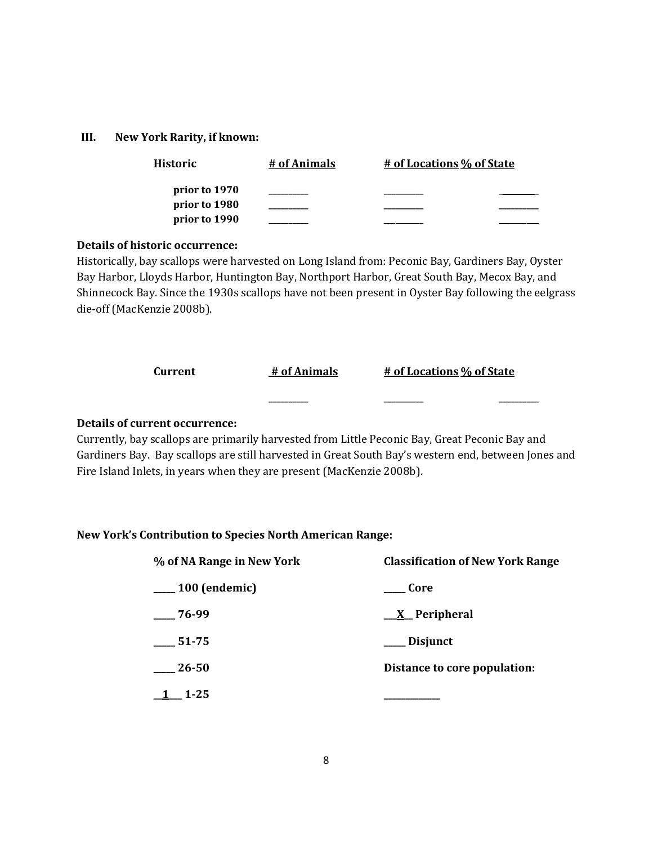#### **III. New York Rarity, if known:**

| Historic                       | # of Animals | # of Locations % of State |
|--------------------------------|--------------|---------------------------|
| prior to 1970<br>prior to 1980 |              |                           |
| prior to 1990                  |              |                           |

### **Details of historic occurrence:**

Historically, bay scallops were harvested on Long Island from: Peconic Bay, Gardiners Bay, Oyster Bay Harbor, Lloyds Harbor, Huntington Bay, Northport Harbor, Great South Bay, Mecox Bay, and Shinnecock Bay. Since the 1930s scallops have not been present in Oyster Bay following the eelgrass die-off (MacKenzie 2008b).

| Current  | # of Animals | # of Locations % of State |
|----------|--------------|---------------------------|
|          |              |                           |
| $\cdots$ |              |                           |

## **Details of current occurrence:**

Currently, bay scallops are primarily harvested from Little Peconic Bay, Great Peconic Bay and Gardiners Bay. Bay scallops are still harvested in Great South Bay's western end, between Jones and Fire Island Inlets, in years when they are present (MacKenzie 2008b).

## **New York's Contribution to Species North American Range:**

| % of NA Range in New York | <b>Classification of New York Range</b> |
|---------------------------|-----------------------------------------|
| 100 (endemic)             | Core                                    |
| 76-99                     | <u>X</u> Peripheral                     |
| 51-75                     | Disjunct                                |
| $26 - 50$                 | Distance to core population:            |
| $1 - 25$                  |                                         |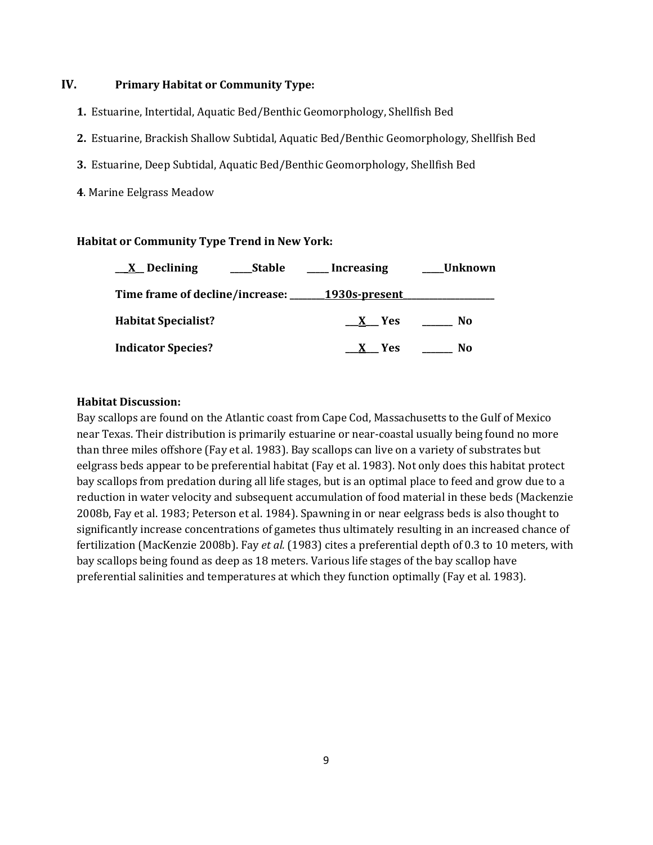# **IV. Primary Habitat or Community Type:**

- **1.** Estuarine, Intertidal, Aquatic Bed/Benthic Geomorphology, Shellfish Bed
- **2.** Estuarine, Brackish Shallow Subtidal, Aquatic Bed/Benthic Geomorphology, Shellfish Bed
- **3.** Estuarine, Deep Subtidal, Aquatic Bed/Benthic Geomorphology, Shellfish Bed
- **4**. Marine Eelgrass Meadow

#### **Habitat or Community Type Trend in New York:**

| $X$ Declining              | Stable | <b>Increasing</b>                             | Unknown |
|----------------------------|--------|-----------------------------------------------|---------|
|                            |        | Time frame of decline/increase: 1930s-present |         |
| <b>Habitat Specialist?</b> |        | X Yes                                         | No.     |
| <b>Indicator Species?</b>  |        | - Yes                                         | No      |

#### **Habitat Discussion:**

Bay scallops are found on the Atlantic coast from Cape Cod, Massachusetts to the Gulf of Mexico near Texas. Their distribution is primarily estuarine or near-coastal usually being found no more than three miles offshore (Fay et al. 1983). Bay scallops can live on a variety of substrates but eelgrass beds appear to be preferential habitat (Fay et al. 1983). Not only does this habitat protect bay scallops from predation during all life stages, but is an optimal place to feed and grow due to a reduction in water velocity and subsequent accumulation of food material in these beds (Mackenzie 2008b, Fay et al. 1983; Peterson et al. 1984). Spawning in or near eelgrass beds is also thought to significantly increase concentrations of gametes thus ultimately resulting in an increased chance of fertilization (MacKenzie 2008b). Fay *et al.* (1983) cites a preferential depth of 0.3 to 10 meters, with bay scallops being found as deep as 18 meters. Various life stages of the bay scallop have preferential salinities and temperatures at which they function optimally (Fay et al. 1983).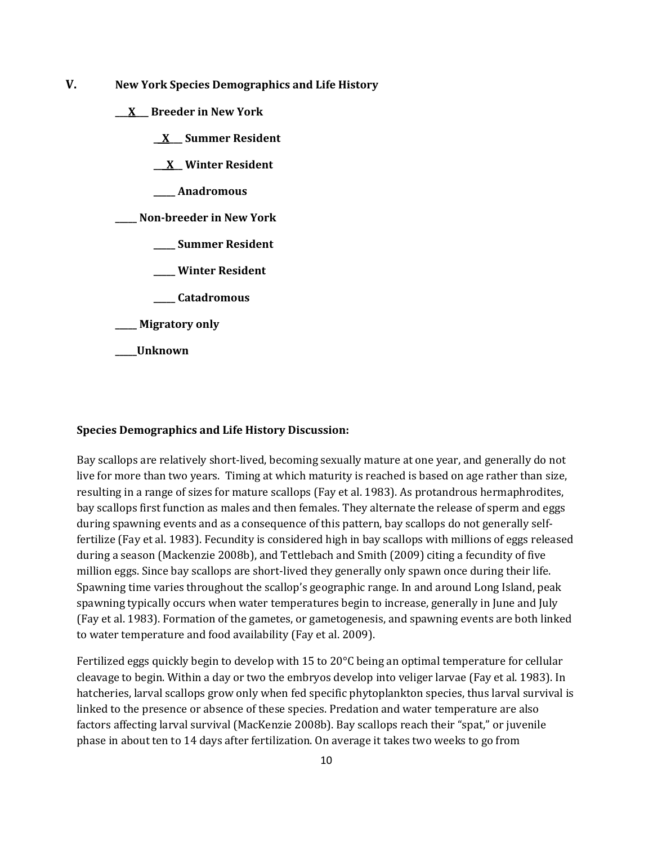- **V. New York Species Demographics and Life History**
	- **\_\_\_X\_\_\_ Breeder in New York**
		- **\_\_X\_\_\_ Summer Resident**

**\_\_\_X\_\_ Winter Resident**

**\_\_\_\_\_ Anadromous**

**\_\_\_\_\_ Non-breeder in New York**

- **\_\_\_\_\_ Summer Resident**
- **\_\_\_\_\_ Winter Resident**
- **\_\_\_\_\_ Catadromous**

**\_\_\_\_\_ Migratory only**

**\_\_\_\_\_Unknown**

#### **Species Demographics and Life History Discussion:**

Bay scallops are relatively short-lived, becoming sexually mature at one year, and generally do not live for more than two years. Timing at which maturity is reached is based on age rather than size, resulting in a range of sizes for mature scallops (Fay et al. 1983). As protandrous hermaphrodites, bay scallops first function as males and then females. They alternate the release of sperm and eggs during spawning events and as a consequence of this pattern, bay scallops do not generally selffertilize (Fay et al. 1983). Fecundity is considered high in bay scallops with millions of eggs released during a season (Mackenzie 2008b), and Tettlebach and Smith (2009) citing a fecundity of five million eggs. Since bay scallops are short-lived they generally only spawn once during their life. Spawning time varies throughout the scallop's geographic range. In and around Long Island, peak spawning typically occurs when water temperatures begin to increase, generally in June and July (Fay et al. 1983). Formation of the gametes, or gametogenesis, and spawning events are both linked to water temperature and food availability (Fay et al. 2009).

Fertilized eggs quickly begin to develop with 15 to 20°C being an optimal temperature for cellular cleavage to begin. Within a day or two the embryos develop into veliger larvae (Fay et al. 1983). In hatcheries, larval scallops grow only when fed specific phytoplankton species, thus larval survival is linked to the presence or absence of these species. Predation and water temperature are also factors affecting larval survival (MacKenzie 2008b). Bay scallops reach their "spat," or juvenile phase in about ten to 14 days after fertilization. On average it takes two weeks to go from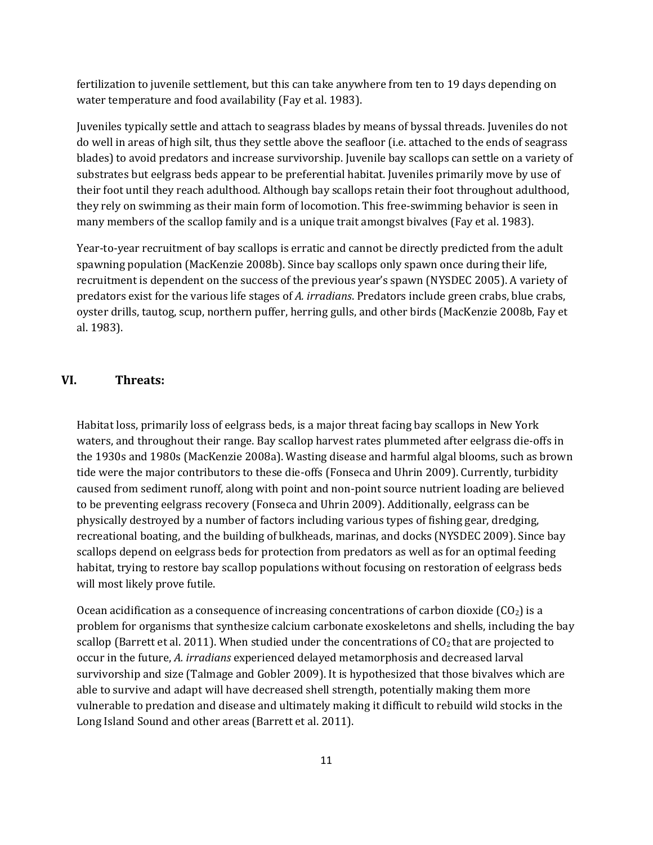fertilization to juvenile settlement, but this can take anywhere from ten to 19 days depending on water temperature and food availability (Fay et al. 1983).

Juveniles typically settle and attach to seagrass blades by means of byssal threads. Juveniles do not do well in areas of high silt, thus they settle above the seafloor (i.e. attached to the ends of seagrass blades) to avoid predators and increase survivorship. Juvenile bay scallops can settle on a variety of substrates but eelgrass beds appear to be preferential habitat. Juveniles primarily move by use of their foot until they reach adulthood. Although bay scallops retain their foot throughout adulthood, they rely on swimming as their main form of locomotion. This free-swimming behavior is seen in many members of the scallop family and is a unique trait amongst bivalves (Fay et al. 1983).

Year-to-year recruitment of bay scallops is erratic and cannot be directly predicted from the adult spawning population (MacKenzie 2008b). Since bay scallops only spawn once during their life, recruitment is dependent on the success of the previous year's spawn (NYSDEC 2005). A variety of predators exist for the various life stages of *A. irradians*. Predators include green crabs, blue crabs, oyster drills, tautog, scup, northern puffer, herring gulls, and other birds (MacKenzie 2008b, Fay et al. 1983).

### **VI. Threats:**

Habitat loss, primarily loss of eelgrass beds, is a major threat facing bay scallops in New York waters, and throughout their range. Bay scallop harvest rates plummeted after eelgrass die-offs in the 1930s and 1980s (MacKenzie 2008a). Wasting disease and harmful algal blooms, such as brown tide were the major contributors to these die-offs (Fonseca and Uhrin 2009). Currently, turbidity caused from sediment runoff, along with point and non-point source nutrient loading are believed to be preventing eelgrass recovery (Fonseca and Uhrin 2009). Additionally, eelgrass can be physically destroyed by a number of factors including various types of fishing gear, dredging, recreational boating, and the building of bulkheads, marinas, and docks (NYSDEC 2009). Since bay scallops depend on eelgrass beds for protection from predators as well as for an optimal feeding habitat, trying to restore bay scallop populations without focusing on restoration of eelgrass beds will most likely prove futile.

Ocean acidification as a consequence of increasing concentrations of carbon dioxide  $(CO_2)$  is a problem for organisms that synthesize calcium carbonate exoskeletons and shells, including the bay scallop (Barrett et al. 2011). When studied under the concentrations of  $CO<sub>2</sub>$  that are projected to occur in the future, *A. irradians* experienced delayed metamorphosis and decreased larval survivorship and size (Talmage and Gobler 2009). It is hypothesized that those bivalves which are able to survive and adapt will have decreased shell strength, potentially making them more vulnerable to predation and disease and ultimately making it difficult to rebuild wild stocks in the Long Island Sound and other areas (Barrett et al. 2011).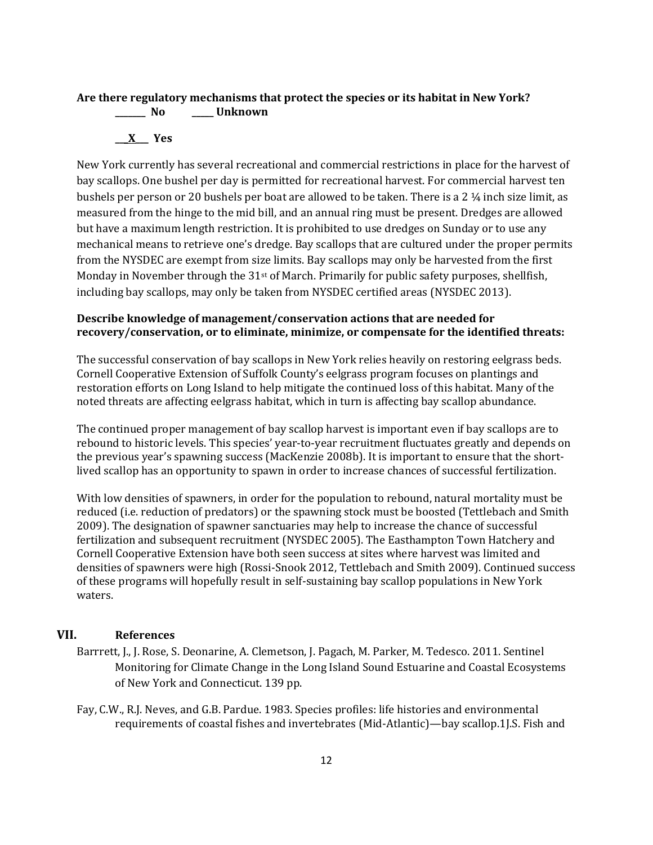# **Are there regulatory mechanisms that protect the species or its habitat in New York? \_\_\_\_\_\_\_ No \_\_\_\_\_ Unknown**

# **\_\_\_X\_\_\_ Yes**

New York currently has several recreational and commercial restrictions in place for the harvest of bay scallops. One bushel per day is permitted for recreational harvest. For commercial harvest ten bushels per person or 20 bushels per boat are allowed to be taken. There is a 2 ¼ inch size limit, as measured from the hinge to the mid bill, and an annual ring must be present. Dredges are allowed but have a maximum length restriction. It is prohibited to use dredges on Sunday or to use any mechanical means to retrieve one's dredge. Bay scallops that are cultured under the proper permits from the NYSDEC are exempt from size limits. Bay scallops may only be harvested from the first Monday in November through the 31<sup>st</sup> of March. Primarily for public safety purposes, shellfish, including bay scallops, may only be taken from NYSDEC certified areas (NYSDEC 2013).

## **Describe knowledge of management/conservation actions that are needed for recovery/conservation, or to eliminate, minimize, or compensate for the identified threats:**

The successful conservation of bay scallops in New York relies heavily on restoring eelgrass beds. Cornell Cooperative Extension of Suffolk County's eelgrass program focuses on plantings and restoration efforts on Long Island to help mitigate the continued loss of this habitat. Many of the noted threats are affecting eelgrass habitat, which in turn is affecting bay scallop abundance.

The continued proper management of bay scallop harvest is important even if bay scallops are to rebound to historic levels. This species' year-to-year recruitment fluctuates greatly and depends on the previous year's spawning success (MacKenzie 2008b). It is important to ensure that the shortlived scallop has an opportunity to spawn in order to increase chances of successful fertilization.

With low densities of spawners, in order for the population to rebound, natural mortality must be reduced (i.e. reduction of predators) or the spawning stock must be boosted (Tettlebach and Smith 2009). The designation of spawner sanctuaries may help to increase the chance of successful fertilization and subsequent recruitment (NYSDEC 2005). The Easthampton Town Hatchery and Cornell Cooperative Extension have both seen success at sites where harvest was limited and densities of spawners were high (Rossi-Snook 2012, Tettlebach and Smith 2009). Continued success of these programs will hopefully result in self-sustaining bay scallop populations in New York waters.

# **VII. References**

- Barrrett, J., J. Rose, S. Deonarine, A. Clemetson, J. Pagach, M. Parker, M. Tedesco. 2011. Sentinel Monitoring for Climate Change in the Long Island Sound Estuarine and Coastal Ecosystems of New York and Connecticut. 139 pp.
- Fay, C.W., R.J. Neves, and G.B. Pardue. 1983. Species profiles: life histories and environmental requirements of coastal fishes and invertebrates (Mid-Atlantic)—bay scallop.1J.S. Fish and